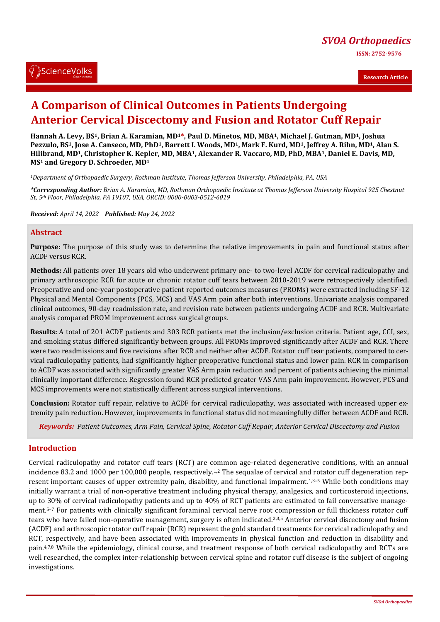*[SVOA Orthopaedics](https://sciencevolks.com/orthopaedics/)*

**ISSN: 2752-9576** 

**Research Article**

# **A Comparison of Clinical Outcomes in Patients Undergoing Anterior Cervical Discectomy and Fusion and Rotator Cuff Repair**

**Hannah A. Levy, BS1, Brian A. Karamian, MD1\*, Paul D. Minetos, MD, MBA1, Michael J. Gutman, MD1, Joshua Pezzulo, BS1, Jose A. Canseco, MD, PhD1, Barrett I. Woods, MD1, Mark F. Kurd, MD1, Jeffrey A. Rihn, MD1, Alan S. Hilibrand, MD1, Christopher K. Kepler, MD, MBA1, Alexander R. Vaccaro, MD, PhD, MBA1, Daniel E. Davis, MD, MS<sup>1</sup> and Gregory D. Schroeder, MD<sup>1</sup>**

*<sup>1</sup>Department of Orthopaedic Surgery, Rothman Institute, Thomas Jefferson University, Philadelphia, PA, USA*

*\*Corresponding Author: Brian A. Karamian, MD, Rothman Orthopaedic Institute at Thomas Jefferson University Hospital 925 Chestnut St, 5th Floor, Philadelphia, PA 19107, USA, ORCID: 0000-0003-0512-6019*

*Received: April 14, 2022 Published: May 24, 2022* 

#### **Abstract**

**Purpose:** The purpose of this study was to determine the relative improvements in pain and functional status after ACDF versus RCR.

**Methods:** All patients over 18 years old who underwent primary one- to two-level ACDF for cervical radiculopathy and primary arthroscopic RCR for acute or chronic rotator cuff tears between 2010-2019 were retrospectively identified. Preoperative and one-year postoperative patient reported outcomes measures (PROMs) were extracted including SF-12 Physical and Mental Components (PCS, MCS) and VAS Arm pain after both interventions. Univariate analysis compared clinical outcomes, 90-day readmission rate, and revision rate between patients undergoing ACDF and RCR. Multivariate analysis compared PROM improvement across surgical groups.

**Results:** A total of 201 ACDF patients and 303 RCR patients met the inclusion/exclusion criteria. Patient age, CCI, sex, and smoking status differed significantly between groups. All PROMs improved significantly after ACDF and RCR. There were two readmissions and five revisions after RCR and neither after ACDF. Rotator cuff tear patients, compared to cervical radiculopathy patients, had significantly higher preoperative functional status and lower pain. RCR in comparison to ACDF was associated with significantly greater VAS Arm pain reduction and percent of patients achieving the minimal clinically important difference. Regression found RCR predicted greater VAS Arm pain improvement. However, PCS and MCS improvements were not statistically different across surgical interventions.

**Conclusion:** Rotator cuff repair, relative to ACDF for cervical radiculopathy, was associated with increased upper extremity pain reduction. However, improvements in functional status did not meaningfully differ between ACDF and RCR.

*Keywords: Patient Outcomes, Arm Pain, Cervical Spine, Rotator Cuff Repair, Anterior Cervical Discectomy and Fusion*

## **Introduction**

Cervical radiculopathy and rotator cuff tears (RCT) are common age-related degenerative conditions, with an annual incidence 83.2 and 1000 per 100,000 people, respectively.1,2 The sequalae of cervical and rotator cuff degeneration represent important causes of upper extremity pain, disability, and functional impairment.<sup>1,3–5</sup> While both conditions may initially warrant a trial of non-operative treatment including physical therapy, analgesics, and corticosteroid injections, up to 30% of cervical radiculopathy patients and up to 40% of RCT patients are estimated to fail conversative management.5–<sup>7</sup> For patients with clinically significant foraminal cervical nerve root compression or full thickness rotator cuff tears who have failed non-operative management, surgery is often indicated.<sup>2,3,5</sup> Anterior cervical discectomy and fusion (ACDF) and arthroscopic rotator cuff repair (RCR) represent the gold standard treatments for cervical radiculopathy and RCT, respectively, and have been associated with improvements in physical function and reduction in disability and pain.4,7,8 While the epidemiology, clinical course, and treatment response of both cervical radiculopathy and RCTs are well researched, the complex inter-relationship between cervical spine and rotator cuff disease is the subject of ongoing investigations.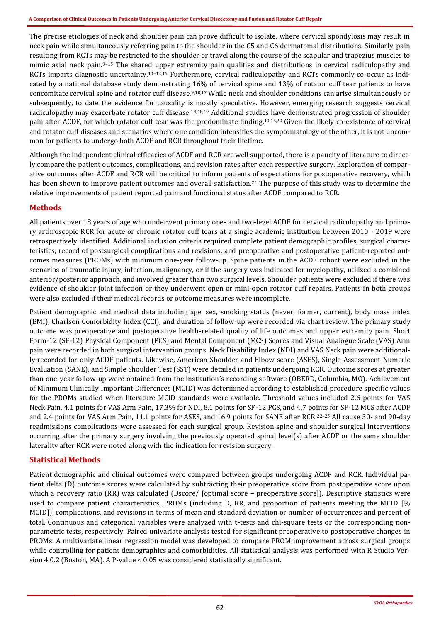The precise etiologies of neck and shoulder pain can prove difficult to isolate, where cervical spondylosis may result in neck pain while simultaneously referring pain to the shoulder in the C5 and C6 dermatomal distributions. Similarly, pain resulting from RCTs may be restricted to the shoulder or travel along the course of the scapular and trapezius muscles to mimic axial neck pain.9–<sup>15</sup> The shared upper extremity pain qualities and distributions in cervical radiculopathy and RCTs imparts diagnostic uncertainty.10–12,16 Furthermore, cervical radiculopathy and RCTs commonly co-occur as indicated by a national database study demonstrating 16% of cervical spine and 13% of rotator cuff tear patients to have concomitate cervical spine and rotator cuff disease.9,10,17 While neck and shoulder conditions can arise simultaneously or subsequently, to date the evidence for causality is mostly speculative. However, emerging research suggests cervical radiculopathy may exacerbate rotator cuff disease.14,18,19 Additional studies have demonstrated progression of shoulder pain after ACDF, for which rotator cuff tear was the predominate finding.10,15,20 Given the likely co-existence of cervical and rotator cuff diseases and scenarios where one condition intensifies the symptomatology of the other, it is not uncommon for patients to undergo both ACDF and RCR throughout their lifetime.

Although the independent clinical efficacies of ACDF and RCR are well supported, there is a paucity of literature to directly compare the patient outcomes, complications, and revision rates after each respective surgery. Exploration of comparative outcomes after ACDF and RCR will be critical to inform patients of expectations for postoperative recovery, which has been shown to improve patient outcomes and overall satisfaction.<sup>21</sup> The purpose of this study was to determine the relative improvements of patient reported pain and functional status after ACDF compared to RCR.

# **Methods**

All patients over 18 years of age who underwent primary one- and two-level ACDF for cervical radiculopathy and primary arthroscopic RCR for acute or chronic rotator cuff tears at a single academic institution between 2010 - 2019 were retrospectively identified. Additional inclusion criteria required complete patient demographic profiles, surgical characteristics, record of postsurgical complications and revisions, and preoperative and postoperative patient-reported outcomes measures (PROMs) with minimum one-year follow-up. Spine patients in the ACDF cohort were excluded in the scenarios of traumatic injury, infection, malignancy, or if the surgery was indicated for myelopathy, utilized a combined anterior/posterior approach, and involved greater than two surgical levels. Shoulder patients were excluded if there was evidence of shoulder joint infection or they underwent open or mini-open rotator cuff repairs. Patients in both groups were also excluded if their medical records or outcome measures were incomplete.

Patient demographic and medical data including age, sex, smoking status (never, former, current), body mass index (BMI), Charlson Comorbidity Index (CCI), and duration of follow-up were recorded via chart review. The primary study outcome was preoperative and postoperative health-related quality of life outcomes and upper extremity pain. Short Form-12 (SF-12) Physical Component (PCS) and Mental Component (MCS) Scores and Visual Analogue Scale (VAS) Arm pain were recorded in both surgical intervention groups. Neck Disability Index (NDI) and VAS Neck pain were additionally recorded for only ACDF patients. Likewise, American Shoulder and Elbow score (ASES), Single Assessment Numeric Evaluation (SANE), and Simple Shoulder Test (SST) were detailed in patients undergoing RCR. Outcome scores at greater than one-year follow-up were obtained from the institution's recording software (OBERD, Columbia, MO). Achievement of Minimum Clinically Important Differences (MCID) was determined according to established procedure specific values for the PROMs studied when literature MCID standards were available. Threshold values included 2.6 points for VAS Neck Pain, 4.1 points for VAS Arm Pain, 17.3% for NDI, 8.1 points for SF-12 PCS, and 4.7 points for SF-12 MCS after ACDF and 2.4 points for VAS Arm Pain, 11.1 points for ASES, and 16.9 points for SANE after RCR.22–<sup>25</sup> All cause 30- and 90-day readmissions complications were assessed for each surgical group. Revision spine and shoulder surgical interventions occurring after the primary surgery involving the previously operated spinal level(s) after ACDF or the same shoulder laterality after RCR were noted along with the indication for revision surgery.

# **Statistical Methods**

Patient demographic and clinical outcomes were compared between groups undergoing ACDF and RCR. Individual patient delta (D) outcome scores were calculated by subtracting their preoperative score from postoperative score upon which a recovery ratio (RR) was calculated (Dscore/ [optimal score – preoperative score]). Descriptive statistics were used to compare patient characteristics, PROMs (including D, RR, and proportion of patients meeting the MCID [% MCID]), complications, and revisions in terms of mean and standard deviation or number of occurrences and percent of total. Continuous and categorical variables were analyzed with t-tests and chi-square tests or the corresponding nonparametric tests, respectively. Paired univariate analysis tested for significant preoperative to postoperative changes in PROMs. A multivariate linear regression model was developed to compare PROM improvement across surgical groups while controlling for patient demographics and comorbidities. All statistical analysis was performed with R Studio Version 4.0.2 (Boston, MA). A P-value < 0.05 was considered statistically significant.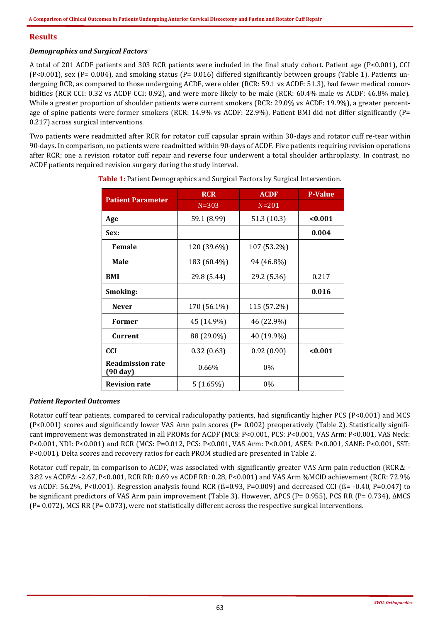## **Results**

#### *Demographics and Surgical Factors*

A total of 201 ACDF patients and 303 RCR patients were included in the final study cohort. Patient age (P<0.001), CCI  $(P<0.001)$ , sex  $(P= 0.004)$ , and smoking status  $(P= 0.016)$  differed significantly between groups (Table 1). Patients undergoing RCR, as compared to those undergoing ACDF, were older (RCR: 59.1 vs ACDF: 51.3), had fewer medical comorbidities (RCR CCI: 0.32 vs ACDF CCI: 0.92), and were more likely to be male (RCR: 60.4% male vs ACDF: 46.8% male). While a greater proportion of shoulder patients were current smokers (RCR: 29.0% vs ACDF: 19.9%), a greater percentage of spine patients were former smokers (RCR: 14.9% vs ACDF: 22.9%). Patient BMI did not differ significantly (P= 0.217) across surgical interventions.

Two patients were readmitted after RCR for rotator cuff capsular sprain within 30-days and rotator cuff re-tear within 90-days. In comparison, no patients were readmitted within 90-days of ACDF. Five patients requiring revision operations after RCR; one a revision rotator cuff repair and reverse four underwent a total shoulder arthroplasty. In contrast, no ACDF patients required revision surgery during the study interval.

|                                               | <b>RCR</b>  | <b>ACDF</b> | <b>P-Value</b> |  |  |
|-----------------------------------------------|-------------|-------------|----------------|--|--|
| <b>Patient Parameter</b>                      | $N = 303$   | $N=201$     |                |  |  |
| Age                                           | 59.1 (8.99) | 51.3 (10.3) | < 0.001        |  |  |
| Sex:                                          |             |             | 0.004          |  |  |
| Female                                        | 120 (39.6%) | 107 (53.2%) |                |  |  |
| <b>Male</b>                                   | 183 (60.4%) | 94 (46.8%)  |                |  |  |
| BMI                                           | 29.8 (5.44) | 29.2 (5.36) | 0.217          |  |  |
| Smoking:                                      |             |             | 0.016          |  |  |
| <b>Never</b>                                  | 170 (56.1%) | 115 (57.2%) |                |  |  |
| <b>Former</b>                                 | 45 (14.9%)  | 46 (22.9%)  |                |  |  |
| <b>Current</b>                                | 88 (29.0%)  | 40 (19.9%)  |                |  |  |
| <b>CCI</b>                                    | 0.32(0.63)  | 0.92(0.90)  | < 0.001        |  |  |
| <b>Readmission rate</b><br>$(90 \text{ day})$ | 0.66%       | $0\%$       |                |  |  |
| <b>Revision rate</b>                          | 5(1.65%)    | 0%          |                |  |  |

**Table 1:** Patient Demographics and Surgical Factors by Surgical Intervention.

## *Patient Reported Outcomes*

Rotator cuff tear patients, compared to cervical radiculopathy patients, had significantly higher PCS (P<0.001) and MCS  $(P<0.001)$  scores and significantly lower VAS Arm pain scores  $(P= 0.002)$  preoperatively (Table 2). Statistically significant improvement was demonstrated in all PROMs for ACDF (MCS: P<0.001, PCS: P<0.001, VAS Arm: P<0.001, VAS Neck: P<0.001, NDI: P<0.001) and RCR (MCS: P=0.012, PCS: P<0.001, VAS Arm: P<0.001, ASES: P<0.001, SANE: P<0.001, SST: P<0.001). Delta scores and recovery ratios for each PROM studied are presented in Table 2.

Rotator cuff repair, in comparison to ACDF, was associated with significantly greater VAS Arm pain reduction (RCRΔ: - 3.82 vs ACDFΔ: -2.67, P<0.001, RCR RR: 0.69 vs ACDF RR: 0.28, P<0.001) and VAS Arm %MCID achievement (RCR: 72.9% vs ACDF: 56.2%, P<0.001). Regression analysis found RCR (ß=0.93, P=0.009) and decreased CCI (ß= -0.40, P=0.047) to be significant predictors of VAS Arm pain improvement (Table 3). However, ΔPCS (P= 0.955), PCS RR (P= 0.734), ΔMCS (P= 0.072), MCS RR (P= 0.073), were not statistically different across the respective surgical interventions.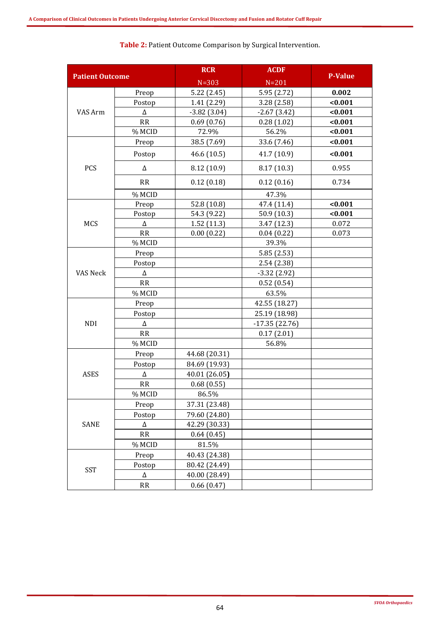| <b>Patient Outcome</b> |           | <b>RCR</b>    | <b>ACDF</b>     | <b>P-Value</b> |  |  |
|------------------------|-----------|---------------|-----------------|----------------|--|--|
|                        |           | $N = 303$     | $N=201$         |                |  |  |
|                        | Preop     | 5.22(2.45)    | 5.95 (2.72)     | 0.002          |  |  |
| VAS Arm                | Postop    | 1.41 (2.29)   | 3.28(2.58)      | < 0.001        |  |  |
|                        | Δ         | $-3.82(3.04)$ | $-2.67(3.42)$   | < 0.001        |  |  |
|                        | <b>RR</b> | 0.69(0.76)    | 0.28(1.02)      | < 0.001        |  |  |
|                        | % MCID    | 72.9%         | 56.2%           | < 0.001        |  |  |
|                        | Preop     | 38.5 (7.69)   | 33.6 (7.46)     | < 0.001        |  |  |
|                        | Postop    | 46.6(10.5)    | 41.7 (10.9)     | < 0.001        |  |  |
| PCS                    | Δ         | 8.12 (10.9)   | 8.17(10.3)      | 0.955          |  |  |
|                        | RR        | 0.12(0.18)    | 0.12(0.16)      | 0.734          |  |  |
|                        | % MCID    |               | 47.3%           |                |  |  |
|                        | Preop     | 52.8 (10.8)   | 47.4 (11.4)     | < 0.001        |  |  |
|                        | Postop    | 54.3 (9.22)   | 50.9(10.3)      | < 0.001        |  |  |
| <b>MCS</b>             | Δ         | 1.52(11.3)    | 3.47 (12.3)     | 0.072          |  |  |
|                        | RR        | 0.00(0.22)    | 0.04(0.22)      | 0.073          |  |  |
|                        | % MCID    |               | 39.3%           |                |  |  |
|                        | Preop     |               | 5.85(2.53)      |                |  |  |
|                        | Postop    |               | 2.54(2.38)      |                |  |  |
| VAS Neck               | Δ         |               | $-3.32(2.92)$   |                |  |  |
|                        | RR        |               | 0.52(0.54)      |                |  |  |
|                        | % MCID    |               | 63.5%           |                |  |  |
|                        | Preop     |               | 42.55 (18.27)   |                |  |  |
|                        | Postop    |               | 25.19 (18.98)   |                |  |  |
| <b>NDI</b>             | $\Delta$  |               | $-17.35(22.76)$ |                |  |  |
|                        | RR        |               | 0.17(2.01)      |                |  |  |
|                        | % MCID    |               | 56.8%           |                |  |  |
|                        | Preop     | 44.68 (20.31) |                 |                |  |  |
|                        | Postop    | 84.69 (19.93) |                 |                |  |  |
| <b>ASES</b>            | Δ         | 40.01 (26.05) |                 |                |  |  |
|                        | RR        | 0.68(0.55)    |                 |                |  |  |
|                        | % MCID    | 86.5%         |                 |                |  |  |
|                        | Preop     | 37.31 (23.48) |                 |                |  |  |
|                        | Postop    | 79.60 (24.80) |                 |                |  |  |
| SANE                   | Δ         | 42.29 (30.33) |                 |                |  |  |
|                        | RR        | 0.64(0.45)    |                 |                |  |  |
|                        | % MCID    | 81.5%         |                 |                |  |  |
|                        | Preop     | 40.43 (24.38) |                 |                |  |  |
|                        | Postop    | 80.42 (24.49) |                 |                |  |  |
| <b>SST</b>             | Δ         | 40.00 (28.49) |                 |                |  |  |
|                        | RR        | 0.66(0.47)    |                 |                |  |  |

**Table 2:** Patient Outcome Comparison by Surgical Intervention.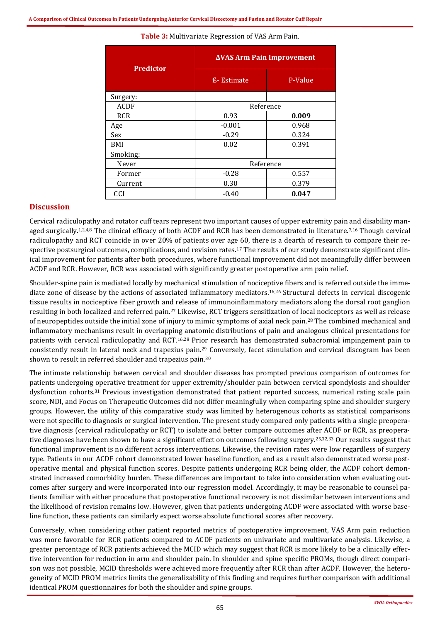**Table 3:** Multivariate Regression of VAS Arm Pain.

| <b>Predictor</b> | <b>AVAS Arm Pain Improvement</b> |         |  |  |  |  |  |  |
|------------------|----------------------------------|---------|--|--|--|--|--|--|
|                  | ß- Estimate                      | P-Value |  |  |  |  |  |  |
| Surgery:         |                                  |         |  |  |  |  |  |  |
| <b>ACDF</b>      | Reference                        |         |  |  |  |  |  |  |
| <b>RCR</b>       | 0.93                             | 0.009   |  |  |  |  |  |  |
| Age              | $-0.001$                         | 0.968   |  |  |  |  |  |  |
| Sex              | $-0.29$                          | 0.324   |  |  |  |  |  |  |
| BMI              | 0.02                             | 0.391   |  |  |  |  |  |  |
| Smoking:         |                                  |         |  |  |  |  |  |  |
| Never            | Reference                        |         |  |  |  |  |  |  |
| Former           | $-0.28$                          | 0.557   |  |  |  |  |  |  |
| Current          | 0.30                             | 0.379   |  |  |  |  |  |  |
| CCI              | $-0.40$                          | 0.047   |  |  |  |  |  |  |

## **Discussion**

Cervical radiculopathy and rotator cuff tears represent two important causes of upper extremity pain and disability managed surgically.<sup>1,2,4,8</sup> The clinical efficacy of both ACDF and RCR has been demonstrated in literature.<sup>7,16</sup> Though cervical radiculopathy and RCT coincide in over 20% of patients over age 60, there is a dearth of research to compare their respective postsurgical outcomes, complications, and revision rates.<sup>17</sup> The results of our study demonstrate significant clinical improvement for patients after both procedures, where functional improvement did not meaningfully differ between ACDF and RCR. However, RCR was associated with significantly greater postoperative arm pain relief.

Shoulder-spine pain is mediated locally by mechanical stimulation of nociceptive fibers and is referred outside the immediate zone of disease by the actions of associated inflammatory mediators.16,26 Structural defects in cervical discogenic tissue results in nociceptive fiber growth and release of immunoinflammatory mediators along the dorsal root ganglion resulting in both localized and referred pain.<sup>27</sup> Likewise, RCT triggers sensitization of local nociceptors as well as release of neuropeptides outside the initial zone of injury to mimic symptoms of axial neck pain.<sup>28</sup> The combined mechanical and inflammatory mechanisms result in overlapping anatomic distributions of pain and analogous clinical presentations for patients with cervical radiculopathy and RCT.16,28 Prior research has demonstrated subacromial impingement pain to consistently result in lateral neck and trapezius pain.<sup>29</sup> Conversely, facet stimulation and cervical discogram has been shown to result in referred shoulder and trapezius pain.<sup>30</sup>

The intimate relationship between cervical and shoulder diseases has prompted previous comparison of outcomes for patients undergoing operative treatment for upper extremity/shoulder pain between cervical spondylosis and shoulder dysfunction cohorts.<sup>31</sup> Previous investigation demonstrated that patient reported success, numerical rating scale pain score, NDI, and Focus on Therapeutic Outcomes did not differ meaningfully when comparing spine and shoulder surgery groups. However, the utility of this comparative study was limited by heterogenous cohorts as statistical comparisons were not specific to diagnosis or surgical intervention. The present study compared only patients with a single preoperative diagnosis (cervical radiculopathy or RCT) to isolate and better compare outcomes after ACDF or RCR, as preoperative diagnoses have been shown to have a significant effect on outcomes following surgery.<sup>25,32,33</sup> Our results suggest that functional improvement is no different across interventions. Likewise, the revision rates were low regardless of surgery type. Patients in our ACDF cohort demonstrated lower baseline function, and as a result also demonstrated worse postoperative mental and physical function scores. Despite patients undergoing RCR being older, the ACDF cohort demonstrated increased comorbidity burden. These differences are important to take into consideration when evaluating outcomes after surgery and were incorporated into our regression model. Accordingly, it may be reasonable to counsel patients familiar with either procedure that postoperative functional recovery is not dissimilar between interventions and the likelihood of revision remains low. However, given that patients undergoing ACDF were associated with worse baseline function, these patients can similarly expect worse absolute functional scores after recovery.

Conversely, when considering other patient reported metrics of postoperative improvement, VAS Arm pain reduction was more favorable for RCR patients compared to ACDF patients on univariate and multivariate analysis. Likewise, a greater percentage of RCR patients achieved the MCID which may suggest that RCR is more likely to be a clinically effective intervention for reduction in arm and shoulder pain. In shoulder and spine specific PROMs, though direct comparison was not possible, MCID thresholds were achieved more frequently after RCR than after ACDF. However, the heterogeneity of MCID PROM metrics limits the generalizability of this finding and requires further comparison with additional identical PROM questionnaires for both the shoulder and spine groups.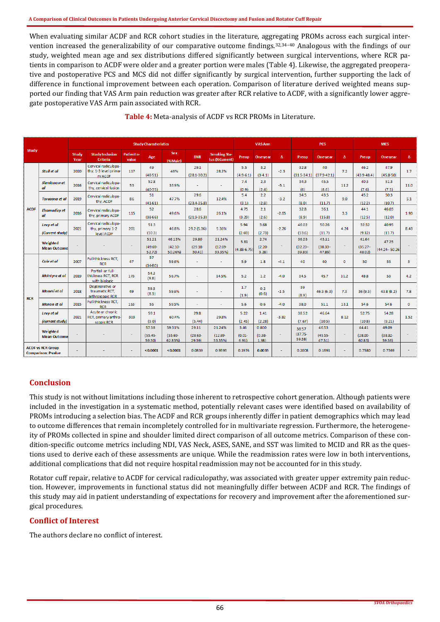When evaluating similar ACDF and RCR cohort studies in the literature, aggregating PROMs across each surgical intervention increased the generalizability of our comparative outcome findings.32,34–<sup>40</sup> Analogous with the findings of our study, weighted mean age and sex distributions differed significantly between surgical interventions, where RCR patients in comparison to ACDF were older and a greater portion were males (Table 4). Likewise, the aggregated preoperative and postoperative PCS and MCS did not differ significantly by surgical intervention, further supporting the lack of difference in functional improvement between each operation. Comparison of literature derived weighted means supported our finding that VAS Arm pain reduction was greater after RCR relative to ACDF, with a significantly lower aggregate postoperative VAS Arm pain associated with RCR.

| Study       |                                                        | <b>Study Characteristics</b> |                                                          |                     |                               |                                 |                               | <b>VAS Arm</b>                        |                            |                             | <b>PCS</b> |                               |                               | <b>MCS</b>   |                               |                               |              |
|-------------|--------------------------------------------------------|------------------------------|----------------------------------------------------------|---------------------|-------------------------------|---------------------------------|-------------------------------|---------------------------------------|----------------------------|-----------------------------|------------|-------------------------------|-------------------------------|--------------|-------------------------------|-------------------------------|--------------|
|             |                                                        | Study<br>Year                | <b>Study Inclusion</b><br>Criteria                       | Patient n-<br>value | Age                           | <b>Sex</b><br>(%Male)           | <b>BMI</b>                    | <b>Smoking Sta-</b><br>tus (%Current) | Preop                      | <b>One-year</b>             | $\Delta$   | Preop                         | One-vear                      | Δ            | Preop                         | One-year                      | Δ            |
| <b>ACDF</b> | Stull et al.                                           | 2020                         | Cervical radiculopa-<br>thy, 1-3 level prima-<br>rv ACDF | 117                 | 49<br>$(48-51)$               | 46%                             | 29.1<br>$(28.1 - 30.2)$       | 28.2%                                 | 5.5<br>$(4.9 - 6.1)$       | 3.2<br>$(3-4.1)$            | $-2.3$     | 32.8<br>$(31.5 - 34.1)$       | 40<br>$(379 - 42.1)$          | 7.2          | 46.2<br>$(43.9 - 48.4)$       | 47.9<br>$(45.8 - 50)$         | 1.7          |
|             | Siemionow et<br>αI                                     | 2016                         | Cervical radiculopa-<br>thy, cervical fusion             | 53                  | 52.8<br>$(40-75)$             | 33.9%                           |                               |                                       | 7.4<br>(0.9)               | 2.3<br>(2.4)                | $-5.1$     | 34.3<br>(6)                   | 45.5<br>(8.6)                 | 11.2         | 40.3<br>(7.6)                 | 51.3<br>(7.5)                 | 11.0         |
|             | Tarazona et al                                         | 2019                         | Cervical radiculopa-<br>thy, ACDF                        | 86                  | 51<br>$(41-61)$               | 47.7%                           | 29.6<br>$(23.4 - 35.8)$       | 12.4%                                 | 5.4<br>(3.1)               | 2.2<br>(2.8)                | $-3.2$     | 34.5<br>(8.0)                 | 43.5<br>(11.7)                | 9.0          | 45.2<br>(12.2)                | 50.3<br>(10.7)                | 5.1          |
|             | <b>Elsamadicy et</b><br>al                             | 2016                         | Cervical radiculopa-<br>thy, primary ACDF                | 115                 | 52<br>$(38-66)$               | 49.6%                           | 28.6<br>$(21.9 - 35.3)$       | 26.1%                                 | 4.75<br>(3.29)             | 2.1<br>(2.6)                | $-2.65$    | 32.8<br>(8.9)                 | 36.1<br>(15.8)                | 3.3          | 44.1<br>(12.5)                | 46.03<br>(12.0)               | 1.93         |
|             | Levy et al<br>(Current study)                          | 2021                         | Cervical radiculopa-<br>thy, primary 1-2<br>level ACDF   | 201                 | 51.3<br>(10.3)                | 46.8%                           | 29.2 (5.36)                   | 5.36%                                 | 5.94<br>(2.69)             | 3.68<br>(2.73)              | $-2.26$    | 46.02<br>(13.6)               | 50.26<br>(11.7)               | 4.24         | 32.52<br>(9.12)               | 40.95<br>(11.7)               | 8.43         |
|             | Weighted<br><b>Mean Outcomel</b>                       |                              |                                                          | ٠                   | 51.21<br>$(49.69 -$<br>52.72  | 46.15%<br>$(42.10 -$<br>50.26%) | 29.80<br>$(29.18 -$<br>30.41) | 21.24%<br>$(12.69 -$<br>33.35%)       | 5.81<br>$(4.88 - 6.75)$    | 2.74<br>$(2.20 -$<br>3.28   | $\sim$     | 36.03<br>$(32.23 -$<br>39.83) | 43.11<br>$(38.33 -$<br>47.89) | $\sim$       | 41.64<br>$(35.27 -$<br>48.02) | 47.25<br>(44.24–50.26)        |              |
|             | Cole et al                                             | 2007                         | Full-thickness RCT.<br><b>RCR</b>                        | 47                  | 57<br>$(34-80)$               | 59.6%                           | $\overline{a}$                | ٠                                     | 5.9                        | 1.8                         | $-41$      | 40                            | 40                            | $\mathbf{0}$ | 50                            | 53                            | 3            |
| <b>RCR</b>  | McIntyre et al                                         | 2019                         | Partial- or full-<br>thickness RCT, RCR<br>with biologic | 173                 | 54.2<br>(9.8)                 | 56.7%                           | $\overline{\phantom{a}}$      | 14.5%                                 | 5.2                        | 1.2                         | $-4.0$     | 34.5                          | 45.7                          | 11.2         | 48.8                          | 53                            | 4.2          |
|             | Monesi et al                                           | 2018                         | Degenerative or<br>traumatic RCT,<br>arthroscopic RCR    | 49                  | 59.5<br>(8.1)                 | 59.6%                           |                               | $\overline{\phantom{a}}$              | 1.7<br>(1.9)               | 0.2<br>(0.6)                | $-1.5$     | 39<br>(8.9)                   | 46.3(6.3)                     | 7.3          | 36 (9.3)                      | 43.8 (8.2)                    | 7.8          |
|             | <b>Menon</b> et al                                     | 2015                         | Full-thickness RCT,<br><b>RCR</b>                        | 153                 | 55                            | 59.5%                           | ٠                             | ٠                                     | 5.6                        | 0.6                         | $-4.0$     | 38.0                          | 51.1                          | 13.1         | 54.6                          | 54.6                          | $\mathbf{0}$ |
|             | Levy et al<br>(current study)                          | 2021                         | Acute or chronic<br>RCT, primary arthro-<br>scopic RCR   | 303                 | 59.1<br>(9.0)                 | 60.4%                           | 29.8<br>(5.44)                | 29.8%                                 | 5.22<br>(2.45)             | 1.41<br>(2.28)              | $-3.82$    | 38.52<br>(7.67)               | 46.64<br>(10.5)               | 8.12         | 52.75<br>(10.8)               | 54.28<br>(9.21)               | 1.52         |
|             | Weighted<br><b>Mean Outcomel</b>                       |                              |                                                          | ٠                   | 57.38<br>$(55.45 -$<br>59.30) | 59.31%<br>$(55.69 -$<br>62.83%) | 29.11<br>$(28.63 -$<br>29.59) | 21.24%<br>$(12.69 -$<br>33.35%)       | 3.46<br>$(0.01 -$<br>6.91) | 0.800<br>$(0.38 -$<br>1.98) | $\sim$     | 38.57<br>$(37.75 -$<br>39.38) | 46.53<br>$(45.55 -$<br>47.51  | $\sim$       | 44.41<br>$(28.00 -$<br>60.83) | 49.09<br>$(38.82 -$<br>59.36) |              |
|             | <b>ACDF vs RCR Group</b><br><b>Comparison: P-value</b> |                              |                                                          |                     | < 0.0001                      | < 0.0001                        | 0.0839                        | 0.9393                                | 0.1974                     | 0.0035                      | $\sim$     | 0.2008                        | 0.1691                        |              | 0.7580                        | 0.7369                        |              |

#### **Table 4:** Meta-analysis of ACDF vs RCR PROMs in Literature.

## **Conclusion**

This study is not without limitations including those inherent to retrospective cohort generation. Although patients were included in the investigation in a systematic method, potentially relevant cases were identified based on availability of PROMs introducing a selection bias. The ACDF and RCR groups inherently differ in patient demographics which may lead to outcome differences that remain incompletely controlled for in multivariate regression. Furthermore, the heterogeneity of PROMs collected in spine and shoulder limited direct comparison of all outcome metrics. Comparison of these condition-specific outcome metrics including NDI, VAS Neck, ASES, SANE, and SST was limited to MCID and RR as the questions used to derive each of these assessments are unique. While the readmission rates were low in both interventions, additional complications that did not require hospital readmission may not be accounted for in this study.

Rotator cuff repair, relative to ACDF for cervical radiculopathy, was associated with greater upper extremity pain reduction. However, improvements in functional status did not meaningfully differ between ACDF and RCR. The findings of this study may aid in patient understanding of expectations for recovery and improvement after the aforementioned surgical procedures.

## **Conflict of Interest**

The authors declare no conflict of interest.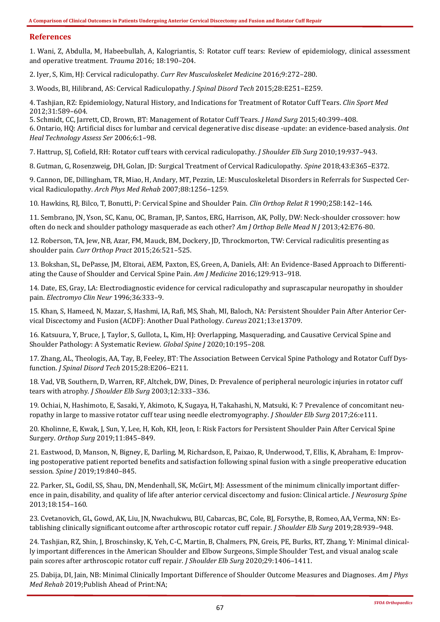## **References**

1. Wani, Z, Abdulla, M, Habeebullah, A, Kalogriantis, S: Rotator cuff tears: Review of epidemiology, clinical assessment and operative treatment. *Trauma* 2016; 18:190–204.

2. Iyer, S, Kim, HJ: Cervical radiculopathy. *Curr Rev Musculoskelet Medicine* 2016;9:272–280.

3. Woods, BI, Hilibrand, AS: Cervical Radiculopathy. *J Spinal Disord Tech* 2015;28:E251–E259.

4. Tashjian, RZ: Epidemiology, Natural History, and Indications for Treatment of Rotator Cuff Tears. *Clin Sport Med* 2012;31:589–604.

5. Schmidt, CC, Jarrett, CD, Brown, BT: Management of Rotator Cuff Tears. *J Hand Surg* 2015;40:399–408.

6. Ontario, HQ: Artificial discs for lumbar and cervical degenerative disc disease -update: an evidence-based analysis. *Ont Heal Technology Assess Ser* 2006;6:1–98.

7. Hattrup, SJ, Cofield, RH: Rotator cuff tears with cervical radiculopathy. *J Shoulder Elb Surg* 2010;19:937–943.

8. Gutman, G, Rosenzweig, DH, Golan, JD: Surgical Treatment of Cervical Radiculopathy. *Spine* 2018;43:E365–E372.

9. Cannon, DE, Dillingham, TR, Miao, H, Andary, MT, Pezzin, LE: Musculoskeletal Disorders in Referrals for Suspected Cervical Radiculopathy. *Arch Phys Med Rehab* 2007;88:1256–1259.

10. Hawkins, RJ, Bilco, T, Bonutti, P: Cervical Spine and Shoulder Pain. *Clin Orthop Relat R* 1990;258:142–146.

11. Sembrano, JN, Yson, SC, Kanu, OC, Braman, JP, Santos, ERG, Harrison, AK, Polly, DW: Neck-shoulder crossover: how often do neck and shoulder pathology masquerade as each other? *Am J Orthop Belle Mead N J* 2013;42:E76-80.

12. Roberson, TA, Jew, NB, Azar, FM, Mauck, BM, Dockery, JD, Throckmorton, TW: Cervical radiculitis presenting as shoulder pain. *Curr Orthop Pract* 2015;26:521–525.

13. Bokshan, SL, DePasse, JM, Eltorai, AEM, Paxton, ES, Green, A, Daniels, AH: An Evidence-Based Approach to Differentiating the Cause of Shoulder and Cervical Spine Pain. *Am J Medicine* 2016;129:913–918.

14. Date, ES, Gray, LA: Electrodiagnostic evidence for cervical radiculopathy and suprascapular neuropathy in shoulder pain. *Electromyo Clin Neur* 1996;36:333–9.

15. Khan, S, Hameed, N, Mazar, S, Hashmi, IA, Rafi, MS, Shah, MI, Baloch, NA: Persistent Shoulder Pain After Anterior Cervical Discectomy and Fusion (ACDF): Another Dual Pathology. *Cureus* 2021;13:e13709.

16. Katsuura, Y, Bruce, J, Taylor, S, Gullota, L, Kim, HJ: Overlapping, Masquerading, and Causative Cervical Spine and Shoulder Pathology: A Systematic Review. *Global Spine J* 2020;10:195–208.

17. Zhang, AL, Theologis, AA, Tay, B, Feeley, BT: The Association Between Cervical Spine Pathology and Rotator Cuff Dysfunction. *J Spinal Disord Tech* 2015;28:E206–E211.

18. Vad, VB, Southern, D, Warren, RF, Altchek, DW, Dines, D: Prevalence of peripheral neurologic injuries in rotator cuff tears with atrophy. *J Shoulder Elb Surg* 2003;12:333–336.

19. Ochiai, N, Hashimoto, E, Sasaki, Y, Akimoto, K, Sugaya, H, Takahashi, N, Matsuki, K: 7 Prevalence of concomitant neuropathy in large to massive rotator cuff tear using needle electromyography. *J Shoulder Elb Surg* 2017;26:e111.

20. Kholinne, E, Kwak, J, Sun, Y, Lee, H, Koh, KH, Jeon, I: Risk Factors for Persistent Shoulder Pain After Cervical Spine Surgery. *Orthop Surg* 2019;11:845–849.

21. Eastwood, D, Manson, N, Bigney, E, Darling, M, Richardson, E, Paixao, R, Underwood, T, Ellis, K, Abraham, E: Improving postoperative patient reported benefits and satisfaction following spinal fusion with a single preoperative education session. *Spine J* 2019;19:840–845.

22. Parker, SL, Godil, SS, Shau, DN, Mendenhall, SK, McGirt, MJ: Assessment of the minimum clinically important difference in pain, disability, and quality of life after anterior cervical discectomy and fusion: Clinical article. *J Neurosurg Spine* 2013;18:154–160.

23. Cvetanovich, GL, Gowd, AK, Liu, JN, Nwachukwu, BU, Cabarcas, BC, Cole, BJ, Forsythe, B, Romeo, AA, Verma, NN: Establishing clinically significant outcome after arthroscopic rotator cuff repair. *J Shoulder Elb Surg* 2019;28:939–948.

24. Tashjian, RZ, Shin, J, Broschinsky, K, Yeh, C-C, Martin, B, Chalmers, PN, Greis, PE, Burks, RT, Zhang, Y: Minimal clinically important differences in the American Shoulder and Elbow Surgeons, Simple Shoulder Test, and visual analog scale pain scores after arthroscopic rotator cuff repair. *J Shoulder Elb Surg* 2020;29:1406–1411.

25. Dabija, DI, Jain, NB: Minimal Clinically Important Difference of Shoulder Outcome Measures and Diagnoses. *Am J Phys Med Rehab* 2019;Publish Ahead of Print:NA;